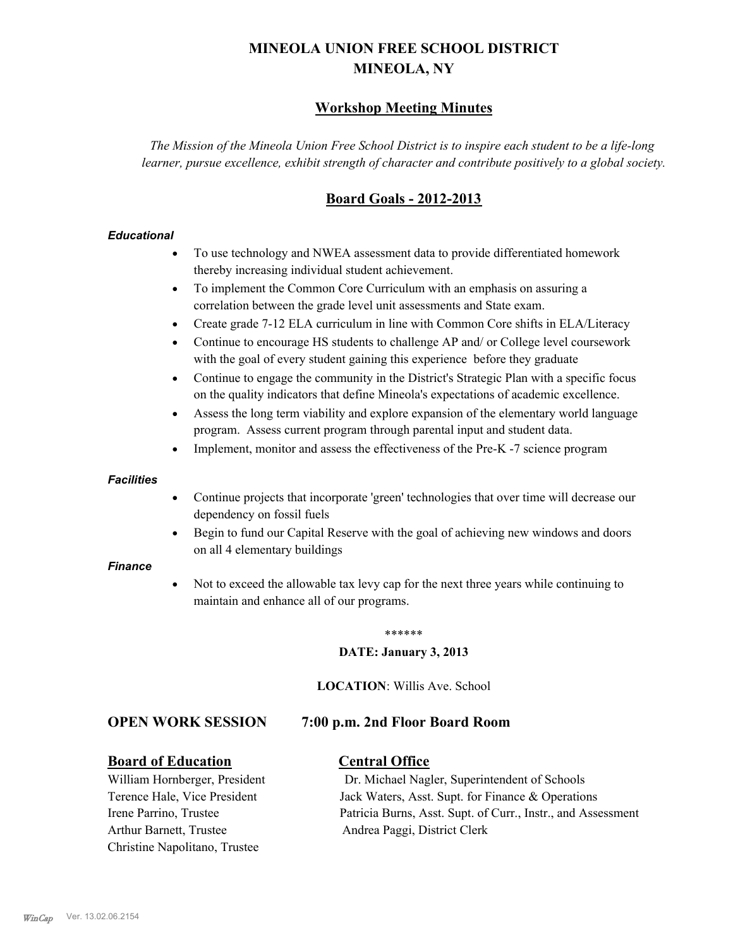# **MINEOLA UNION FREE SCHOOL DISTRICT MINEOLA, NY**

# **Workshop Meeting Minutes**

*The Mission of the Mineola Union Free School District is to inspire each student to be a life-long learner, pursue excellence, exhibit strength of character and contribute positively to a global society.*

# **Board Goals - 2012-2013**

#### *Educational*

- · To use technology and NWEA assessment data to provide differentiated homework thereby increasing individual student achievement.
- · To implement the Common Core Curriculum with an emphasis on assuring a correlation between the grade level unit assessments and State exam.
- Create grade 7-12 ELA curriculum in line with Common Core shifts in ELA/Literacy
- Continue to encourage HS students to challenge AP and/ or College level coursework with the goal of every student gaining this experience before they graduate
- · Continue to engage the community in the District's Strategic Plan with a specific focus on the quality indicators that define Mineola's expectations of academic excellence.
- Assess the long term viability and explore expansion of the elementary world language program. Assess current program through parental input and student data.
- Implement, monitor and assess the effectiveness of the Pre-K -7 science program

#### *Facilities*

- · Continue projects that incorporate 'green' technologies that over time will decrease our dependency on fossil fuels
- Begin to fund our Capital Reserve with the goal of achieving new windows and doors on all 4 elementary buildings

#### *Finance*

Not to exceed the allowable tax levy cap for the next three years while continuing to maintain and enhance all of our programs.

#### \*\*\*\*\*\*

#### **DATE: January 3, 2013**

**LOCATION**: Willis Ave. School

# **OPEN WORK SESSION 7:00 p.m. 2nd Floor Board Room**

#### **Board of Education Central Office**

Arthur Barnett, Trustee Andrea Paggi, District Clerk Christine Napolitano, Trustee

William Hornberger, President Dr. Michael Nagler, Superintendent of Schools Terence Hale, Vice President Jack Waters, Asst. Supt. for Finance & Operations Irene Parrino, Trustee Patricia Burns, Asst. Supt. of Curr., Instr., and Assessment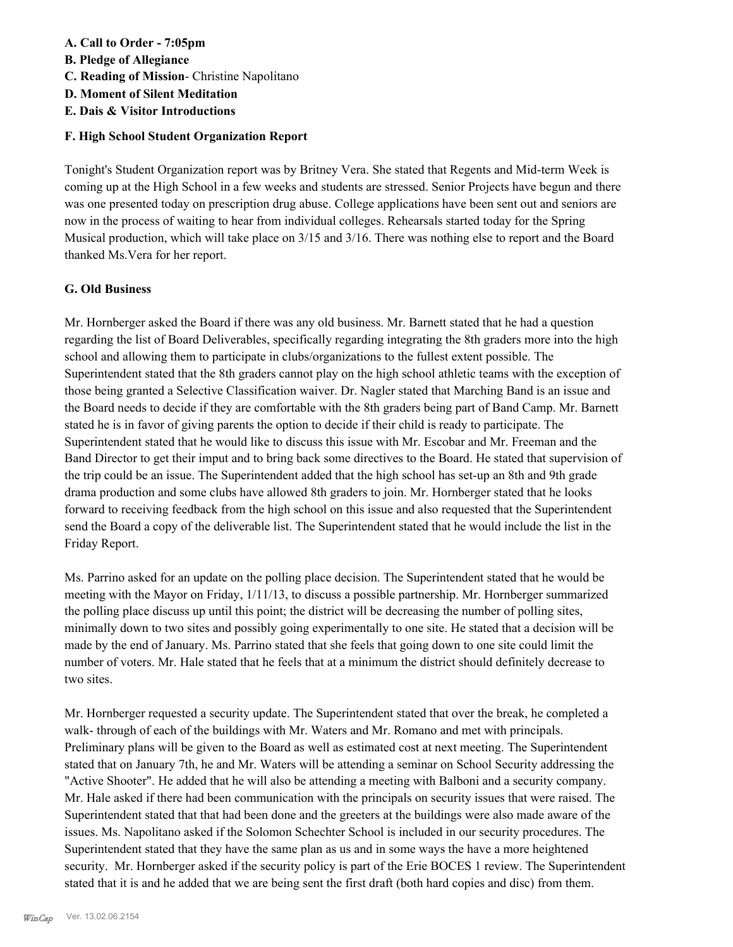# **A. Call to Order - 7:05pm**

- **B. Pledge of Allegiance**
- **C. Reading of Mission** Christine Napolitano
- **D. Moment of Silent Meditation**
- **E. Dais & Visitor Introductions**

# **F. High School Student Organization Report**

Tonight's Student Organization report was by Britney Vera. She stated that Regents and Mid-term Week is coming up at the High School in a few weeks and students are stressed. Senior Projects have begun and there was one presented today on prescription drug abuse. College applications have been sent out and seniors are now in the process of waiting to hear from individual colleges. Rehearsals started today for the Spring Musical production, which will take place on 3/15 and 3/16. There was nothing else to report and the Board thanked Ms.Vera for her report.

# **G. Old Business**

Mr. Hornberger asked the Board if there was any old business. Mr. Barnett stated that he had a question regarding the list of Board Deliverables, specifically regarding integrating the 8th graders more into the high school and allowing them to participate in clubs/organizations to the fullest extent possible. The Superintendent stated that the 8th graders cannot play on the high school athletic teams with the exception of those being granted a Selective Classification waiver. Dr. Nagler stated that Marching Band is an issue and the Board needs to decide if they are comfortable with the 8th graders being part of Band Camp. Mr. Barnett stated he is in favor of giving parents the option to decide if their child is ready to participate. The Superintendent stated that he would like to discuss this issue with Mr. Escobar and Mr. Freeman and the Band Director to get their imput and to bring back some directives to the Board. He stated that supervision of the trip could be an issue. The Superintendent added that the high school has set-up an 8th and 9th grade drama production and some clubs have allowed 8th graders to join. Mr. Hornberger stated that he looks forward to receiving feedback from the high school on this issue and also requested that the Superintendent send the Board a copy of the deliverable list. The Superintendent stated that he would include the list in the Friday Report.

Ms. Parrino asked for an update on the polling place decision. The Superintendent stated that he would be meeting with the Mayor on Friday, 1/11/13, to discuss a possible partnership. Mr. Hornberger summarized the polling place discuss up until this point; the district will be decreasing the number of polling sites, minimally down to two sites and possibly going experimentally to one site. He stated that a decision will be made by the end of January. Ms. Parrino stated that she feels that going down to one site could limit the number of voters. Mr. Hale stated that he feels that at a minimum the district should definitely decrease to two sites.

Mr. Hornberger requested a security update. The Superintendent stated that over the break, he completed a walk- through of each of the buildings with Mr. Waters and Mr. Romano and met with principals. Preliminary plans will be given to the Board as well as estimated cost at next meeting. The Superintendent stated that on January 7th, he and Mr. Waters will be attending a seminar on School Security addressing the "Active Shooter". He added that he will also be attending a meeting with Balboni and a security company. Mr. Hale asked if there had been communication with the principals on security issues that were raised. The Superintendent stated that that had been done and the greeters at the buildings were also made aware of the issues. Ms. Napolitano asked if the Solomon Schechter School is included in our security procedures. The Superintendent stated that they have the same plan as us and in some ways the have a more heightened security. Mr. Hornberger asked if the security policy is part of the Erie BOCES 1 review. The Superintendent stated that it is and he added that we are being sent the first draft (both hard copies and disc) from them.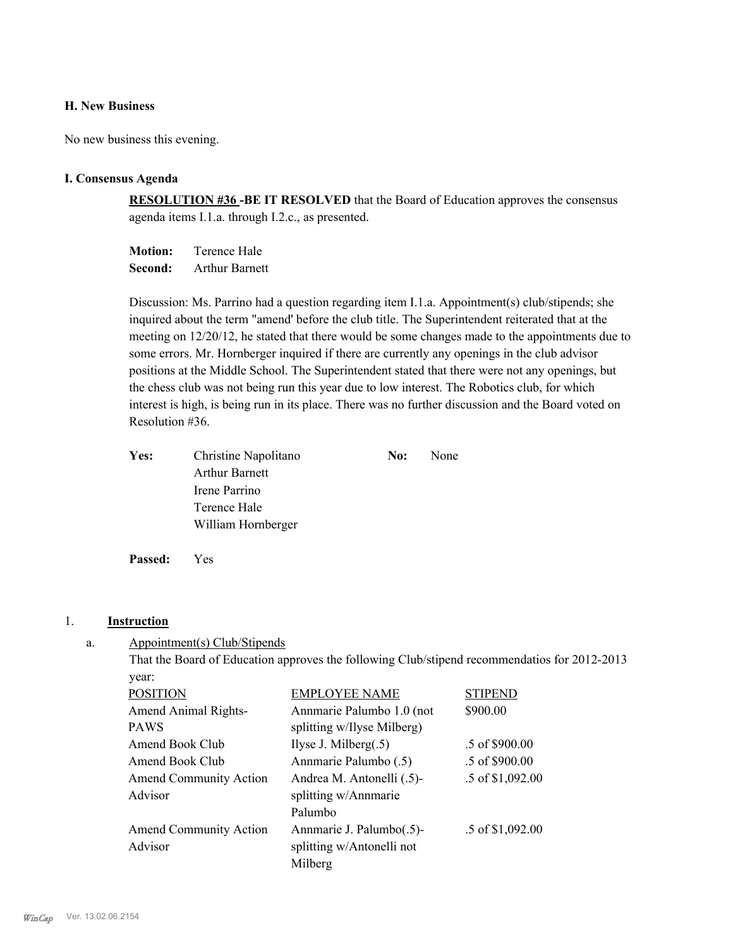### **H. New Business**

No new business this evening.

#### **I. Consensus Agenda**

**RESOLUTION #36 -BE IT RESOLVED** that the Board of Education approves the consensus agenda items I.1.a. through I.2.c., as presented.

**Motion:** Terence Hale **Second:** Arthur Barnett

Discussion: Ms. Parrino had a question regarding item I.1.a. Appointment(s) club/stipends; she inquired about the term "amend' before the club title. The Superintendent reiterated that at the meeting on 12/20/12, he stated that there would be some changes made to the appointments due to some errors. Mr. Hornberger inquired if there are currently any openings in the club advisor positions at the Middle School. The Superintendent stated that there were not any openings, but the chess club was not being run this year due to low interest. The Robotics club, for which interest is high, is being run in its place. There was no further discussion and the Board voted on Resolution #36.

| Yes: | Christine Napolitano  | No: | None |
|------|-----------------------|-----|------|
|      | <b>Arthur Barnett</b> |     |      |
|      | Irene Parrino         |     |      |
|      | Terence Hale          |     |      |
|      | William Hornberger    |     |      |
|      |                       |     |      |

**Passed:** Yes

#### 1. **Instruction**

Appointment(s) Club/Stipends a.

> That the Board of Education approves the following Club/stipend recommendatios for 2012-2013 year:

| <b>POSITION</b>               | <b>EMPLOYEE NAME</b>       | <b>STIPEND</b>   |
|-------------------------------|----------------------------|------------------|
| Amend Animal Rights-          | Annmarie Palumbo 1.0 (not  | \$900.00         |
| <b>PAWS</b>                   | splitting w/Ilyse Milberg) |                  |
| Amend Book Club               | Ilyse J. Milberg $(.5)$    | .5 of \$900.00   |
| Amend Book Club               | Annmarie Palumbo (.5)      | .5 of \$900.00   |
| <b>Amend Community Action</b> | Andrea M. Antonelli (.5)-  | .5 of \$1,092.00 |
| Advisor                       | splitting w/Annmarie       |                  |
|                               | Palumbo                    |                  |
| <b>Amend Community Action</b> | Annmarie J. Palumbo(.5)-   | .5 of \$1,092.00 |
| Advisor                       | splitting w/Antonelli not  |                  |
|                               | Milberg                    |                  |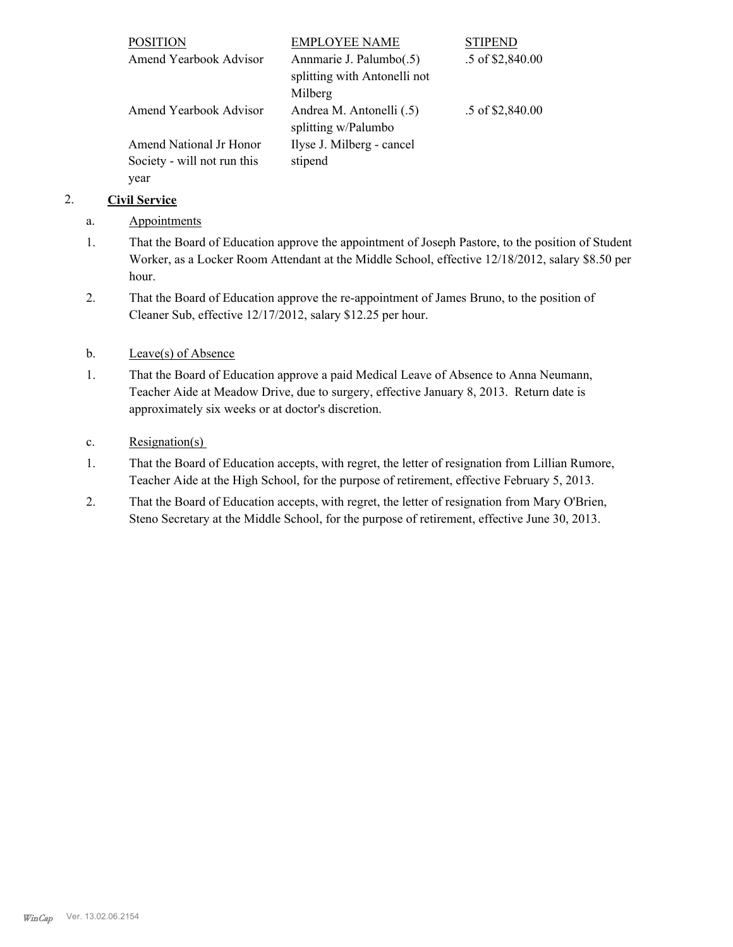| <b>POSITION</b>             | <b>EMPLOYEE NAME</b>         | <b>STIPEND</b>   |
|-----------------------------|------------------------------|------------------|
| Amend Yearbook Advisor      | Annmarie J. Palumbo(.5)      | .5 of \$2,840.00 |
|                             | splitting with Antonelli not |                  |
|                             | Milberg                      |                  |
| Amend Yearbook Advisor      | Andrea M. Antonelli (.5)     | .5 of \$2,840.00 |
|                             | splitting w/Palumbo          |                  |
| Amend National Jr Honor     | Ilyse J. Milberg - cancel    |                  |
| Society - will not run this | stipend                      |                  |
| year                        |                              |                  |

# 2. **Civil Service**

- a. Appointments
- That the Board of Education approve the appointment of Joseph Pastore, to the position of Student Worker, as a Locker Room Attendant at the Middle School, effective 12/18/2012, salary \$8.50 per hour. 1.
- That the Board of Education approve the re-appointment of James Bruno, to the position of Cleaner Sub, effective 12/17/2012, salary \$12.25 per hour. 2.

# b. Leave(s) of Absence

That the Board of Education approve a paid Medical Leave of Absence to Anna Neumann, Teacher Aide at Meadow Drive, due to surgery, effective January 8, 2013. Return date is approximately six weeks or at doctor's discretion. 1.

# c. Resignation(s)

- That the Board of Education accepts, with regret, the letter of resignation from Lillian Rumore, Teacher Aide at the High School, for the purpose of retirement, effective February 5, 2013. 1.
- That the Board of Education accepts, with regret, the letter of resignation from Mary O'Brien, Steno Secretary at the Middle School, for the purpose of retirement, effective June 30, 2013. 2.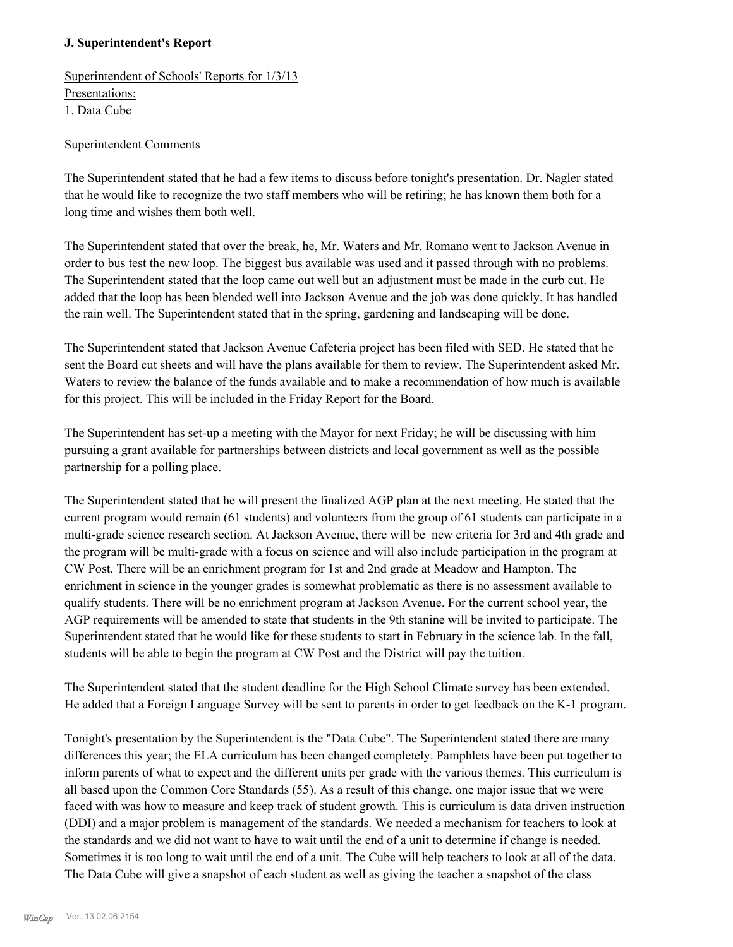# **J. Superintendent's Report**

Superintendent of Schools' Reports for 1/3/13 Presentations: 1. Data Cube

### Superintendent Comments

The Superintendent stated that he had a few items to discuss before tonight's presentation. Dr. Nagler stated that he would like to recognize the two staff members who will be retiring; he has known them both for a long time and wishes them both well.

The Superintendent stated that over the break, he, Mr. Waters and Mr. Romano went to Jackson Avenue in order to bus test the new loop. The biggest bus available was used and it passed through with no problems. The Superintendent stated that the loop came out well but an adjustment must be made in the curb cut. He added that the loop has been blended well into Jackson Avenue and the job was done quickly. It has handled the rain well. The Superintendent stated that in the spring, gardening and landscaping will be done.

The Superintendent stated that Jackson Avenue Cafeteria project has been filed with SED. He stated that he sent the Board cut sheets and will have the plans available for them to review. The Superintendent asked Mr. Waters to review the balance of the funds available and to make a recommendation of how much is available for this project. This will be included in the Friday Report for the Board.

The Superintendent has set-up a meeting with the Mayor for next Friday; he will be discussing with him pursuing a grant available for partnerships between districts and local government as well as the possible partnership for a polling place.

The Superintendent stated that he will present the finalized AGP plan at the next meeting. He stated that the current program would remain (61 students) and volunteers from the group of 61 students can participate in a multi-grade science research section. At Jackson Avenue, there will be new criteria for 3rd and 4th grade and the program will be multi-grade with a focus on science and will also include participation in the program at CW Post. There will be an enrichment program for 1st and 2nd grade at Meadow and Hampton. The enrichment in science in the younger grades is somewhat problematic as there is no assessment available to qualify students. There will be no enrichment program at Jackson Avenue. For the current school year, the AGP requirements will be amended to state that students in the 9th stanine will be invited to participate. The Superintendent stated that he would like for these students to start in February in the science lab. In the fall, students will be able to begin the program at CW Post and the District will pay the tuition.

The Superintendent stated that the student deadline for the High School Climate survey has been extended. He added that a Foreign Language Survey will be sent to parents in order to get feedback on the K-1 program.

Tonight's presentation by the Superintendent is the "Data Cube". The Superintendent stated there are many differences this year; the ELA curriculum has been changed completely. Pamphlets have been put together to inform parents of what to expect and the different units per grade with the various themes. This curriculum is all based upon the Common Core Standards (55). As a result of this change, one major issue that we were faced with was how to measure and keep track of student growth. This is curriculum is data driven instruction (DDI) and a major problem is management of the standards. We needed a mechanism for teachers to look at the standards and we did not want to have to wait until the end of a unit to determine if change is needed. Sometimes it is too long to wait until the end of a unit. The Cube will help teachers to look at all of the data. The Data Cube will give a snapshot of each student as well as giving the teacher a snapshot of the class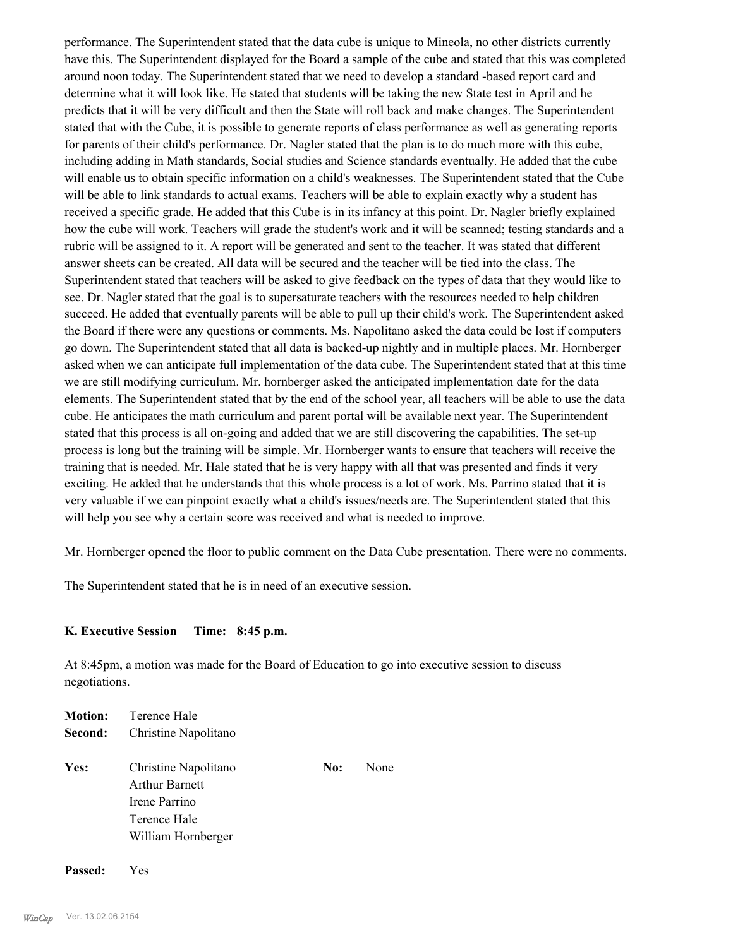performance. The Superintendent stated that the data cube is unique to Mineola, no other districts currently have this. The Superintendent displayed for the Board a sample of the cube and stated that this was completed around noon today. The Superintendent stated that we need to develop a standard -based report card and determine what it will look like. He stated that students will be taking the new State test in April and he predicts that it will be very difficult and then the State will roll back and make changes. The Superintendent stated that with the Cube, it is possible to generate reports of class performance as well as generating reports for parents of their child's performance. Dr. Nagler stated that the plan is to do much more with this cube, including adding in Math standards, Social studies and Science standards eventually. He added that the cube will enable us to obtain specific information on a child's weaknesses. The Superintendent stated that the Cube will be able to link standards to actual exams. Teachers will be able to explain exactly why a student has received a specific grade. He added that this Cube is in its infancy at this point. Dr. Nagler briefly explained how the cube will work. Teachers will grade the student's work and it will be scanned; testing standards and a rubric will be assigned to it. A report will be generated and sent to the teacher. It was stated that different answer sheets can be created. All data will be secured and the teacher will be tied into the class. The Superintendent stated that teachers will be asked to give feedback on the types of data that they would like to see. Dr. Nagler stated that the goal is to supersaturate teachers with the resources needed to help children succeed. He added that eventually parents will be able to pull up their child's work. The Superintendent asked the Board if there were any questions or comments. Ms. Napolitano asked the data could be lost if computers go down. The Superintendent stated that all data is backed-up nightly and in multiple places. Mr. Hornberger asked when we can anticipate full implementation of the data cube. The Superintendent stated that at this time we are still modifying curriculum. Mr. hornberger asked the anticipated implementation date for the data elements. The Superintendent stated that by the end of the school year, all teachers will be able to use the data cube. He anticipates the math curriculum and parent portal will be available next year. The Superintendent stated that this process is all on-going and added that we are still discovering the capabilities. The set-up process is long but the training will be simple. Mr. Hornberger wants to ensure that teachers will receive the training that is needed. Mr. Hale stated that he is very happy with all that was presented and finds it very exciting. He added that he understands that this whole process is a lot of work. Ms. Parrino stated that it is very valuable if we can pinpoint exactly what a child's issues/needs are. The Superintendent stated that this will help you see why a certain score was received and what is needed to improve.

Mr. Hornberger opened the floor to public comment on the Data Cube presentation. There were no comments.

The Superintendent stated that he is in need of an executive session.

# **K. Executive Session Time: 8:45 p.m.**

At 8:45pm, a motion was made for the Board of Education to go into executive session to discuss negotiations.

|         | <b>Motion:</b> Terence Hale                                                                          |     |      |
|---------|------------------------------------------------------------------------------------------------------|-----|------|
| Second: | Christine Napolitano                                                                                 |     |      |
| Yes:    | Christine Napolitano<br><b>Arthur Barnett</b><br>Irene Parrino<br>Terence Hale<br>William Hornberger | No: | None |
|         |                                                                                                      |     |      |

**Passed:** Yes